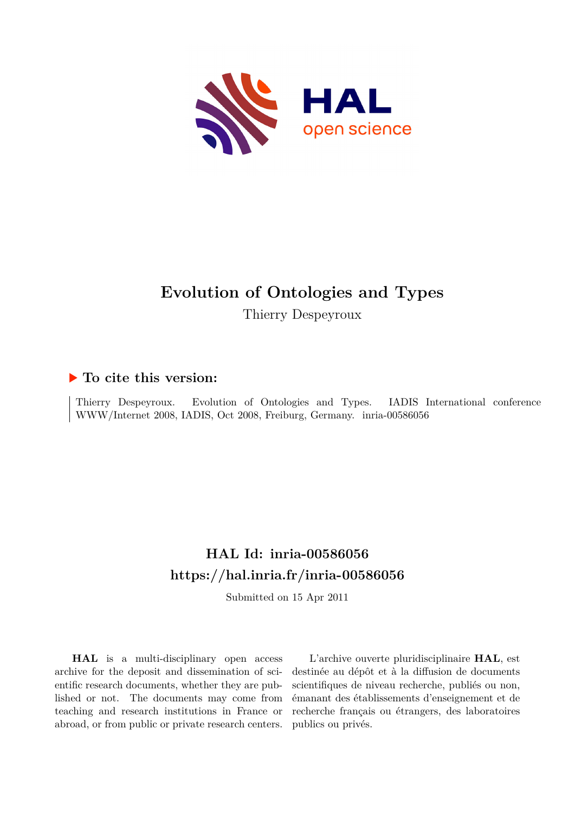

# **Evolution of Ontologies and Types**

Thierry Despeyroux

## **To cite this version:**

Thierry Despeyroux. Evolution of Ontologies and Types. IADIS International conference WWW/Internet 2008, IADIS, Oct 2008, Freiburg, Germany. inria-00586056

# **HAL Id: inria-00586056 <https://hal.inria.fr/inria-00586056>**

Submitted on 15 Apr 2011

**HAL** is a multi-disciplinary open access archive for the deposit and dissemination of scientific research documents, whether they are published or not. The documents may come from teaching and research institutions in France or abroad, or from public or private research centers.

L'archive ouverte pluridisciplinaire **HAL**, est destinée au dépôt et à la diffusion de documents scientifiques de niveau recherche, publiés ou non, émanant des établissements d'enseignement et de recherche français ou étrangers, des laboratoires publics ou privés.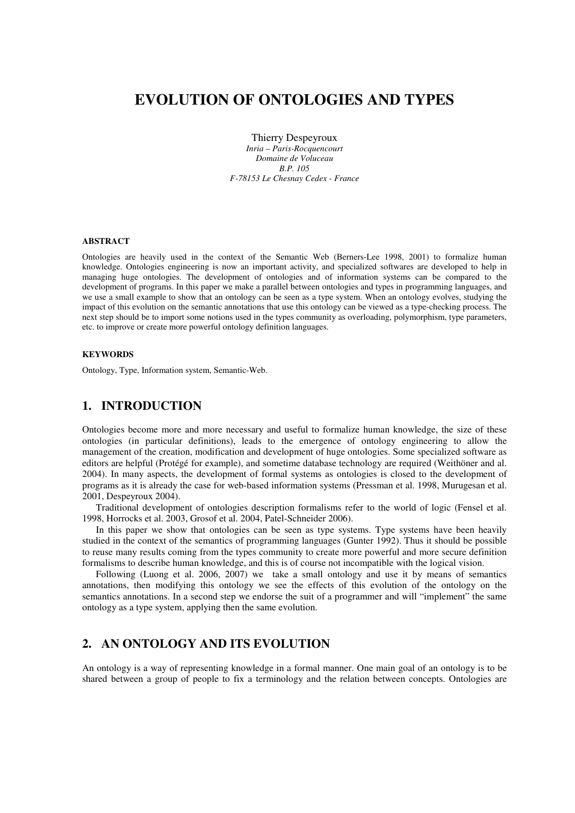## **EVOLUTION OF ONTOLOGIES AND TYPES**

Thierry Despeyroux *Inria – Paris-Rocquencourt Domaine de Voluceau B.P. 105 F-78153 Le Chesnay Cedex - France* 

#### **ABSTRACT**

Ontologies are heavily used in the context of the Semantic Web (Berners-Lee 1998, 2001) to formalize human knowledge. Ontologies engineering is now an important activity, and specialized softwares are developed to help in managing huge ontologies. The development of ontologies and of information systems can be compared to the development of programs. In this paper we make a parallel between ontologies and types in programming languages, and we use a small example to show that an ontology can be seen as a type system. When an ontology evolves, studying the impact of this evolution on the semantic annotations that use this ontology can be viewed as a type-checking process. The next step should be to import some notions used in the types community as overloading, polymorphism, type parameters, etc. to improve or create more powerful ontology definition languages.

#### **KEYWORDS**

Ontology, Type, Information system, Semantic-Web.

## **1. INTRODUCTION**

Ontologies become more and more necessary and useful to formalize human knowledge, the size of these ontologies (in particular definitions), leads to the emergence of ontology engineering to allow the management of the creation, modification and development of huge ontologies. Some specialized software as editors are helpful (Protégé for example), and sometime database technology are required (Weithöner and al. 2004). In many aspects, the development of formal systems as ontologies is closed to the development of programs as it is already the case for web-based information systems (Pressman et al. 1998, Murugesan et al. 2001, Despeyroux 2004).

Traditional development of ontologies description formalisms refer to the world of logic (Fensel et al. 1998, Horrocks et al. 2003, Grosof et al. 2004, Patel-Schneider 2006).

In this paper we show that ontologies can be seen as type systems. Type systems have been heavily studied in the context of the semantics of programming languages (Gunter 1992). Thus it should be possible to reuse many results coming from the types community to create more powerful and more secure definition formalisms to describe human knowledge, and this is of course not incompatible with the logical vision.

Following (Luong et al. 2006, 2007) we take a small ontology and use it by means of semantics annotations, then modifying this ontology we see the effects of this evolution of the ontology on the semantics annotations. In a second step we endorse the suit of a programmer and will "implement" the same ontology as a type system, applying then the same evolution.

## **2. AN ONTOLOGY AND ITS EVOLUTION**

An ontology is a way of representing knowledge in a formal manner. One main goal of an ontology is to be shared between a group of people to fix a terminology and the relation between concepts. Ontologies are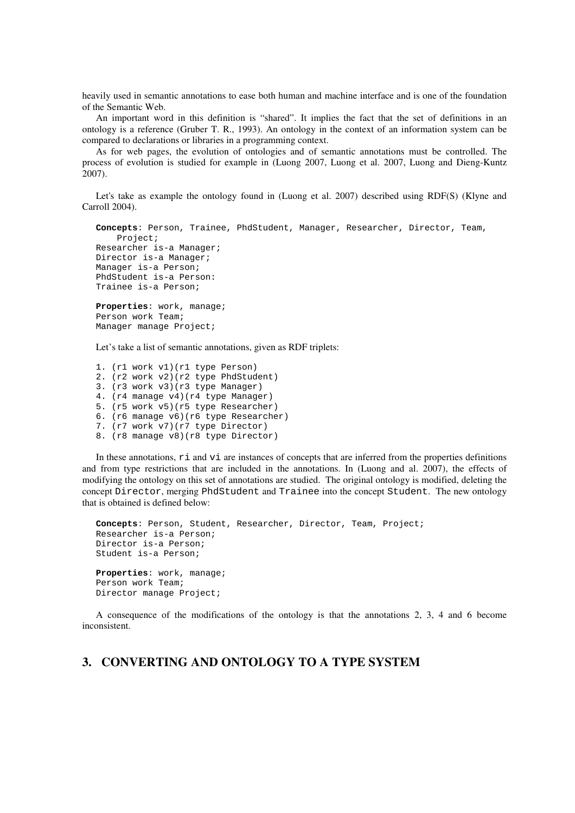heavily used in semantic annotations to ease both human and machine interface and is one of the foundation of the Semantic Web.

An important word in this definition is "shared". It implies the fact that the set of definitions in an ontology is a reference (Gruber T. R., 1993). An ontology in the context of an information system can be compared to declarations or libraries in a programming context.

As for web pages, the evolution of ontologies and of semantic annotations must be controlled. The process of evolution is studied for example in (Luong 2007, Luong et al. 2007, Luong and Dieng-Kuntz 2007).

Let's take as example the ontology found in (Luong et al. 2007) described using RDF(S) (Klyne and Carroll 2004).

```
Concepts: Person, Trainee, PhdStudent, Manager, Researcher, Director, Team, 
    Project; 
Researcher is-a Manager; 
Director is-a Manager; 
Manager is-a Person; 
PhdStudent is-a Person: 
Trainee is-a Person; 
Properties: work, manage; 
Person work Team; 
Manager manage Project;
```
Let's take a list of semantic annotations, given as RDF triplets:

1. (r1 work v1)(r1 type Person) 2. (r2 work v2)(r2 type PhdStudent) 3. (r3 work v3)(r3 type Manager) 4. (r4 manage v4)(r4 type Manager) 5. (r5 work v5)(r5 type Researcher) 6. (r6 manage v6)(r6 type Researcher) 7. (r7 work v7)(r7 type Director) 8. (r8 manage v8)(r8 type Director)

In these annotations,  $r_i$  and  $r_i$  are instances of concepts that are inferred from the properties definitions and from type restrictions that are included in the annotations. In (Luong and al. 2007), the effects of modifying the ontology on this set of annotations are studied. The original ontology is modified, deleting the concept Director, merging PhdStudent and Trainee into the concept Student. The new ontology that is obtained is defined below:

```
Concepts: Person, Student, Researcher, Director, Team, Project; 
Researcher is-a Person; 
Director is-a Person; 
Student is-a Person; 
Properties: work, manage; 
Person work Team; 
Director manage Project;
```
A consequence of the modifications of the ontology is that the annotations 2, 3, 4 and 6 become inconsistent.

## **3. CONVERTING AND ONTOLOGY TO A TYPE SYSTEM**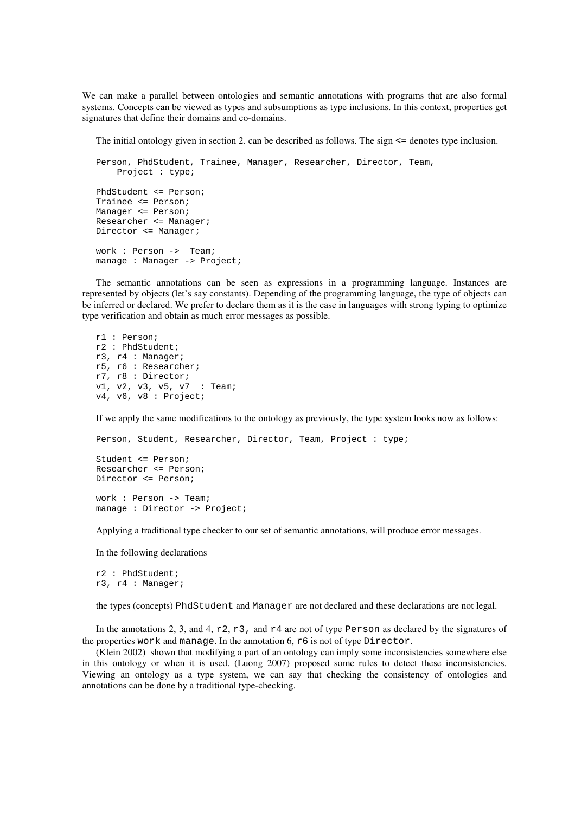We can make a parallel between ontologies and semantic annotations with programs that are also formal systems. Concepts can be viewed as types and subsumptions as type inclusions. In this context, properties get signatures that define their domains and co-domains.

The initial ontology given in section 2. can be described as follows. The sign <= denotes type inclusion.

```
Person, PhdStudent, Trainee, Manager, Researcher, Director, Team, 
    Project : type; 
PhdStudent <= Person; 
Trainee <= Person; 
Manager <= Person; 
Researcher <= Manager; 
Director <= Manager; 
work : Person -> Team; 
manage : Manager -> Project;
```
The semantic annotations can be seen as expressions in a programming language. Instances are represented by objects (let's say constants). Depending of the programming language, the type of objects can be inferred or declared. We prefer to declare them as it is the case in languages with strong typing to optimize type verification and obtain as much error messages as possible.

```
r1 : Person; 
r2 : PhdStudent; 
r3, r4 : Manager; 
r5, r6 : Researcher; 
r7, r8 : Director; 
v1, v2, v3, v5, v7 : Team; 
v4, v6, v8 : Project;
```
If we apply the same modifications to the ontology as previously, the type system looks now as follows:

```
Person, Student, Researcher, Director, Team, Project : type; 
Student <= Person; 
Researcher <= Person; 
Director <= Person; 
work : Person -> Team;
```
Applying a traditional type checker to our set of semantic annotations, will produce error messages.

In the following declarations

manage : Director -> Project;

```
r2 : PhdStudent; 
r3, r4 : Manager;
```
the types (concepts) PhdStudent and Manager are not declared and these declarations are not legal.

In the annotations 2, 3, and 4,  $r2$ ,  $r3$ , and  $r4$  are not of type Person as declared by the signatures of the properties work and manage. In the annotation 6, r6 is not of type Director.

(Klein 2002) shown that modifying a part of an ontology can imply some inconsistencies somewhere else in this ontology or when it is used. (Luong 2007) proposed some rules to detect these inconsistencies. Viewing an ontology as a type system, we can say that checking the consistency of ontologies and annotations can be done by a traditional type-checking.